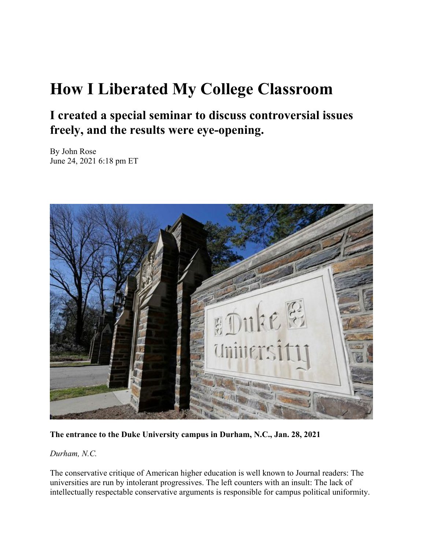## **How I Liberated My College Classroom**

## **I created a special seminar to discuss controversial issues freely, and the results were eye-opening.**

By John Rose June 24, 2021 6:18 pm ET



**The entrance to the Duke University campus in Durham, N.C., Jan. 28, 2021** 

*Durham, N.C.*

The conservative critique of American higher education is well known to Journal readers: The universities are run by intolerant progressives. The left counters with an insult: The lack of intellectually respectable conservative arguments is responsible for campus political uniformity.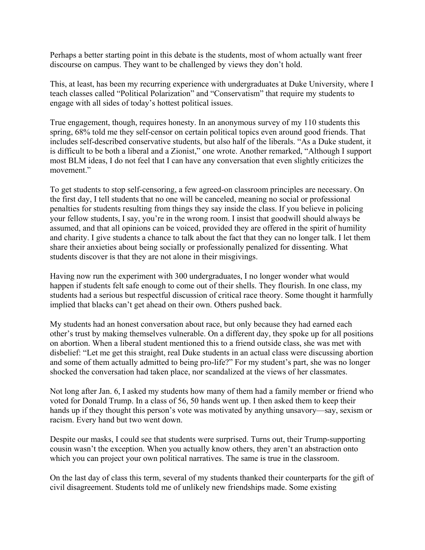Perhaps a better starting point in this debate is the students, most of whom actually want freer discourse on campus. They want to be challenged by views they don't hold.

This, at least, has been my recurring experience with undergraduates at Duke University, where I teach classes called "Political Polarization" and "Conservatism" that require my students to engage with all sides of today's hottest political issues.

True engagement, though, requires honesty. In an anonymous survey of my 110 students this spring, 68% told me they self-censor on certain political topics even around good friends. That includes self-described conservative students, but also half of the liberals. "As a Duke student, it is difficult to be both a liberal and a Zionist," one wrote. Another remarked, "Although I support most BLM ideas, I do not feel that I can have any conversation that even slightly criticizes the movement."

To get students to stop self-censoring, a few agreed-on classroom principles are necessary. On the first day, I tell students that no one will be canceled, meaning no social or professional penalties for students resulting from things they say inside the class. If you believe in policing your fellow students, I say, you're in the wrong room. I insist that goodwill should always be assumed, and that all opinions can be voiced, provided they are offered in the spirit of humility and charity. I give students a chance to talk about the fact that they can no longer talk. I let them share their anxieties about being socially or professionally penalized for dissenting. What students discover is that they are not alone in their misgivings.

Having now run the experiment with 300 undergraduates, I no longer wonder what would happen if students felt safe enough to come out of their shells. They flourish. In one class, my students had a serious but respectful discussion of critical race theory. Some thought it harmfully implied that blacks can't get ahead on their own. Others pushed back.

My students had an honest conversation about race, but only because they had earned each other's trust by making themselves vulnerable. On a different day, they spoke up for all positions on abortion. When a liberal student mentioned this to a friend outside class, she was met with disbelief: "Let me get this straight, real Duke students in an actual class were discussing abortion and some of them actually admitted to being pro-life?" For my student's part, she was no longer shocked the conversation had taken place, nor scandalized at the views of her classmates.

Not long after Jan. 6, I asked my students how many of them had a family member or friend who voted for Donald Trump. In a class of 56, 50 hands went up. I then asked them to keep their hands up if they thought this person's vote was motivated by anything unsavory—say, sexism or racism. Every hand but two went down.

Despite our masks, I could see that students were surprised. Turns out, their Trump-supporting cousin wasn't the exception. When you actually know others, they aren't an abstraction onto which you can project your own political narratives. The same is true in the classroom.

On the last day of class this term, several of my students thanked their counterparts for the gift of civil disagreement. Students told me of unlikely new friendships made. Some existing